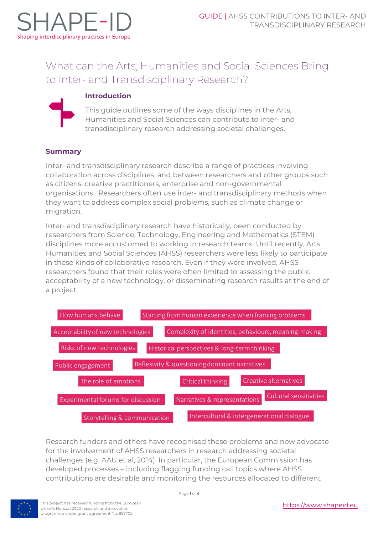

# What can the Arts, Humanities and Social Sciences Bring to Inter- and Transdisciplinary Research?

# **Introduction**

This guide outlines some of the ways disciplines in the Arts, Humanities and Social Sciences can contribute to inter- and transdisciplinary research addressing societal challenges.

# **Summary**

Inter- and transdisciplinary research describe a range of practices involving collaboration across disciplines, and between researchers and other groups such as citizens, creative practitioners, enterprise and non-governmental organisations. Researchers often use inter- and transdisciplinary methods when they want to address complex social problems, such as climate change or migration.

Inter- and transdisciplinary research have historically, been conducted by researchers from Science, Technology, Engineering and Mathematics (STEM) disciplines more accustomed to working in research teams. Until recently, Arts Humanities and Social Sciences (AHSS) researchers were less likely to participate in these kinds of collaborative research. Even if they were involved, AHSS researchers found that their roles were often limited to assessing the public acceptability of a new technology, or disseminating research results at the end of a project.

| How humans behave                       | Starting from human experience when framing problems   |
|-----------------------------------------|--------------------------------------------------------|
| Acceptability of new technologies       | Complexity of identities, behaviours, meaning-making   |
| Risks of new technologies               | Historical perspectives & long-term thinking           |
| Public engagement                       | Reflexivity & questioning dominant narratives          |
| The role of emotions                    | Creative alternatives<br>Critical thinking             |
| Experimental forums for discussion      | Cultural sensitivities<br>Narratives & representations |
| <b>Storytelling &amp; communication</b> | Intercultural & intergenerational dialogue             |

Research funders and others have recognised these problems and now advocate for the involvement of AHSS researchers in research addressing societal challenges (e.g. AAU et al, 2014). In particular, the European Commission has developed processes – including flagging funding call topics where AHSS contributions are desirable and monitoring the resources allocated to different

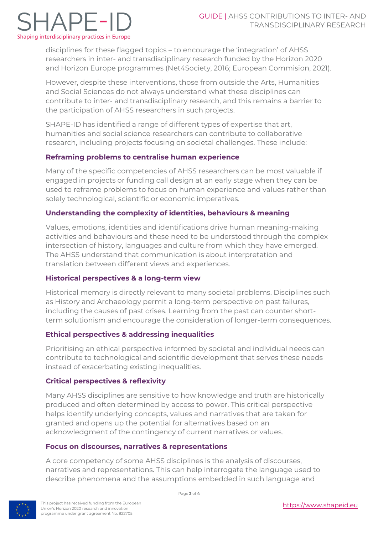# $\exists$ APF-I Shaping interdisciplinary practices in Europe

disciplines for these flagged topics – to encourage the 'integration' of AHSS researchers in inter- and transdisciplinary research funded by the Horizon 2020 and Horizon Europe programmes (Net4Society, 2016; European Commision, 2021).

However, despite these interventions, those from outside the Arts, Humanities and Social Sciences do not always understand what these disciplines can contribute to inter- and transdisciplinary research, and this remains a barrier to the participation of AHSS researchers in such projects.

SHAPE-ID has identified a range of different types of expertise that art, humanities and social science researchers can contribute to collaborative research, including projects focusing on societal challenges. These include:

# **Reframing problems to centralise human experience**

Many of the specific competencies of AHSS researchers can be most valuable if engaged in projects or funding call design at an early stage when they can be used to reframe problems to focus on human experience and values rather than solely technological, scientific or economic imperatives.

# **Understanding the complexity of identities, behaviours & meaning**

Values, emotions, identities and identifications drive human meaning-making activities and behaviours and these need to be understood through the complex intersection of history, languages and culture from which they have emerged. The AHSS understand that communication is about interpretation and translation between different views and experiences.

## **Historical perspectives & a long-term view**

Historical memory is directly relevant to many societal problems. Disciplines such as History and Archaeology permit a long-term perspective on past failures, including the causes of past crises. Learning from the past can counter shortterm solutionism and encourage the consideration of longer-term consequences.

## **Ethical perspectives & addressing inequalities**

Prioritising an ethical perspective informed by societal and individual needs can contribute to technological and scientific development that serves these needs instead of exacerbating existing inequalities.

## **Critical perspectives & reflexivity**

Many AHSS disciplines are sensitive to how knowledge and truth are historically produced and often determined by access to power. This critical perspective helps identify underlying concepts, values and narratives that are taken for granted and opens up the potential for alternatives based on an acknowledgment of the contingency of current narratives or values.

## **Focus on discourses, narratives & representations**

A core competency of some AHSS disciplines is the analysis of discourses, narratives and representations. This can help interrogate the language used to describe phenomena and the assumptions embedded in such language and



This project has received funding from the European Union's Horizon 2020 research and innovation programme under grant agreement No. 822705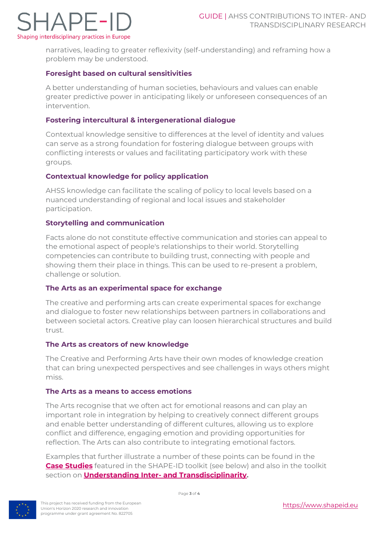

narratives, leading to greater reflexivity (self-understanding) and reframing how a problem may be understood.

## **Foresight based on cultural sensitivities**

A better understanding of human societies, behaviours and values can enable greater predictive power in anticipating likely or unforeseen consequences of an intervention.

#### **Fostering intercultural & intergenerational dialogue**

Contextual knowledge sensitive to differences at the level of identity and values can serve as a strong foundation for fostering dialogue between groups with conflicting interests or values and facilitating participatory work with these groups.

#### **Contextual knowledge for policy application**

AHSS knowledge can facilitate the scaling of policy to local levels based on a nuanced understanding of regional and local issues and stakeholder participation.

#### **Storytelling and communication**

Facts alone do not constitute effective communication and stories can appeal to the emotional aspect of people's relationships to their world. Storytelling competencies can contribute to building trust, connecting with people and showing them their place in things. This can be used to re-present a problem, challenge or solution.

#### **The Arts as an experimental space for exchange**

The creative and performing arts can create experimental spaces for exchange and dialogue to foster new relationships between partners in collaborations and between societal actors. Creative play can loosen hierarchical structures and build trust.

#### **The Arts as creators of new knowledge**

The Creative and Performing Arts have their own modes of knowledge creation that can bring unexpected perspectives and see challenges in ways others might miss.

#### **The Arts as a means to access emotions**

The Arts recognise that we often act for emotional reasons and can play an important role in integration by helping to creatively connect different groups and enable better understanding of different cultures, allowing us to explore conflict and difference, engaging emotion and providing opportunities for reflection. The Arts can also contribute to integrating emotional factors.

Examples that further illustrate a number of these points can be found in the **[Case Studies](https://www.shapeidtoolkit.eu/case-studies/)** featured in the SHAPE-ID toolkit (see below) and also in the toolkit section on **Understanding Inter- [and Transdisciplinarity.](https://www.shapeidtoolkit.eu/guided-pathways/understand-inter-and-trans-disciplinary-research/)**